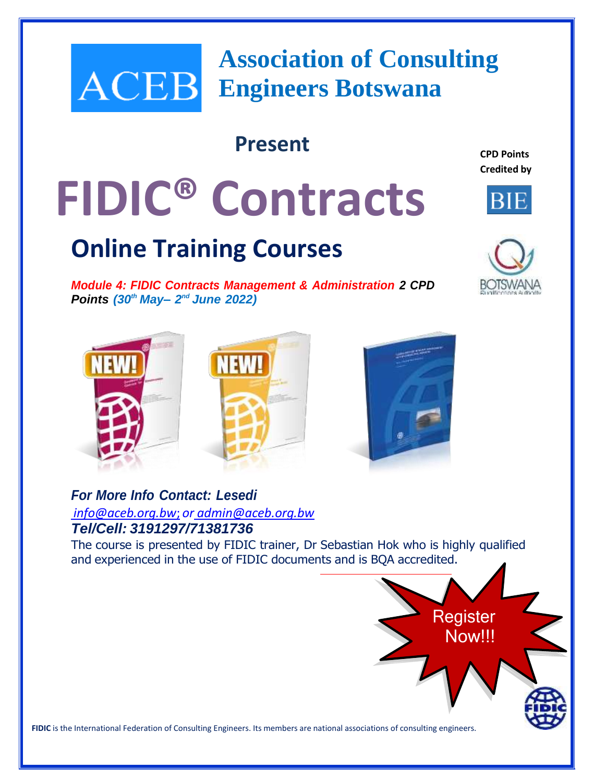# **Association of Consulting Engineers Botswana**

# **Present**

**CPD Points Credited by**

# **FIDIC® Contracts**

# **Online Training Courses**

*Module 4: FIDIC Contracts Management & Administration 2 CPD Points (30th May– 2 nd June 2022)*











## *For More Info Contact: Lesedi info@aceb.org.bw*; *or [admin@aceb.org.bw](mailto:admin@aceb.org.bw) Tel/Cell: 3191297/71381736*

The course is presented by FIDIC trainer, Dr Sebastian Hok who is highly qualified and experienced in the use of FIDIC documents and is BQA accredited.



**FIDIC** is the International Federation of Consulting Engineers. Its members are national associations of consulting engineers.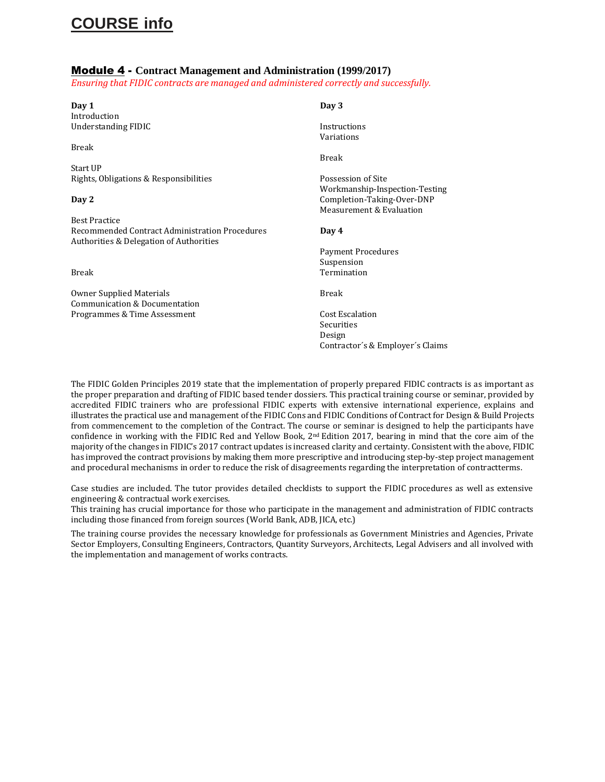# **COURSE info**

#### Module 4 - **Contract Management and Administration (1999/2017)**

*Ensuring that FIDIC contracts are managed and administered correctly and successfully.*

| Day 1                                          | Day 3                          |
|------------------------------------------------|--------------------------------|
| Introduction                                   |                                |
| Understanding FIDIC                            | Instructions                   |
|                                                | Variations                     |
| Break                                          |                                |
|                                                | <b>Break</b>                   |
| Start UP                                       |                                |
| Rights, Obligations & Responsibilities         | Possession of Site             |
|                                                | Workmanship-Inspection-Testing |
| Day 2                                          | Completion-Taking-Over-DNP     |
|                                                | Measurement & Evaluation       |
| <b>Best Practice</b>                           |                                |
| Recommended Contract Administration Procedures | Day 4                          |
| Authorities & Delegation of Authorities        |                                |
|                                                |                                |
|                                                | Payment Procedures             |
|                                                | Suspension                     |
| Break                                          | Termination                    |
| Owner Supplied Materials                       | <b>Break</b>                   |
| Communication & Documentation                  |                                |
| Programmes & Time Assessment                   | <b>Cost Escalation</b>         |
|                                                | Securities                     |
|                                                |                                |
|                                                | Design                         |

The FIDIC Golden Principles 2019 state that the implementation of properly prepared FIDIC contracts is as important as the proper preparation and drafting of FIDIC based tender dossiers. This practical training course or seminar, provided by accredited FIDIC trainers who are professional FIDIC experts with extensive international experience, explains and illustrates the practical use and management of the FIDIC Cons and FIDIC Conditions of Contract for Design & Build Projects from commencement to the completion of the Contract. The course or seminar is designed to help the participants have confidence in working with the FIDIC Red and Yellow Book, 2nd Edition 2017, bearing in mind that the core aim of the majority of the changes in FIDIC's 2017 contract updates is increased clarity and certainty. Consistent with the above, FIDIC has improved the contract provisions by making them more prescriptive and introducing step-by-step project management and procedural mechanisms in order to reduce the risk of disagreements regarding the interpretation of contractterms.

Contractor´s & Employer´s Claims

Case studies are included. The tutor provides detailed checklists to support the FIDIC procedures as well as extensive engineering & contractual work exercises.

This training has crucial importance for those who participate in the management and administration of FIDIC contracts including those financed from foreign sources (World Bank, ADB, JICA, etc.)

The training course provides the necessary knowledge for professionals as Government Ministries and Agencies, Private Sector Employers, Consulting Engineers, Contractors, Quantity Surveyors, Architects, Legal Advisers and all involved with the implementation and management of works contracts.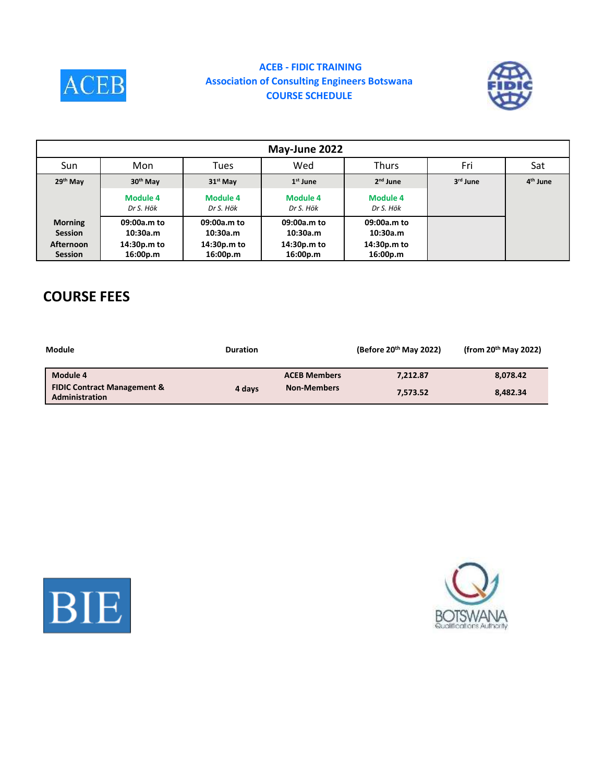

#### **ACEB - FIDIC TRAINING Association of Consulting Engineers Botswana COURSE SCHEDULE**



| May-June 2022                                                          |                                                    |                                                    |                                                    |                                                    |          |                      |
|------------------------------------------------------------------------|----------------------------------------------------|----------------------------------------------------|----------------------------------------------------|----------------------------------------------------|----------|----------------------|
| Sun                                                                    | Mon                                                | Tues                                               | Wed                                                | <b>Thurs</b>                                       | Fri      | Sat                  |
| 29th May                                                               | 30 <sup>th</sup> May                               | $31st$ May                                         | $1st$ June                                         | $2nd$ June                                         | 3rd June | 4 <sup>th</sup> June |
|                                                                        | <b>Module 4</b><br>Dr S. Hök                       | <b>Module 4</b><br>Dr S. Hök                       | Module 4<br>Dr S. Hök                              | <b>Module 4</b><br>Dr S. Hök                       |          |                      |
| <b>Morning</b><br><b>Session</b><br><b>Afternoon</b><br><b>Session</b> | 09:00a.m to<br>10:30a.m<br>14:30p.m to<br>16:00p.m | 09:00a.m to<br>10:30a.m<br>14:30p.m to<br>16:00p.m | 09:00a.m to<br>10:30a.m<br>14:30p.m to<br>16:00p.m | 09:00a.m to<br>10:30a.m<br>14:30p.m to<br>16:00p.m |          |                      |

# **COURSE FEES**

| Module                                                   | <b>Duration</b> |                     | (Before $20th$ May 2022) | (from $20th$ May 2022) |
|----------------------------------------------------------|-----------------|---------------------|--------------------------|------------------------|
| Module 4                                                 |                 | <b>ACEB Members</b> | 7.212.87                 | 8,078.42               |
| <b>FIDIC Contract Management &amp;</b><br>Administration | 4 days          | <b>Non-Members</b>  | 7.573.52                 | 8,482.34               |



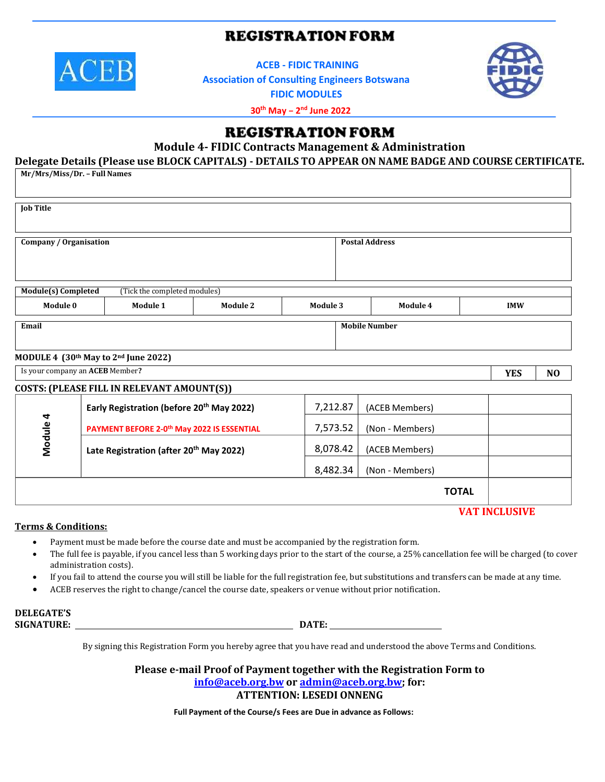## **REGISTRATION FORM**



**ACEB - FIDIC TRAINING**

**Association of Consulting Engineers Botswana**



**FIDIC MODULES**

**30th May – 2 nd June 2022**

### **REGISTRATION FORM**

**Module 4- FIDIC Contracts Management & Administration**

**Delegate Details (Please use BLOCK CAPITALS) - DETAILS TO APPEAR ON NAME BADGE AND COURSE CERTIFICATE.**

| Mr/Mrs/Miss/Dr. - Full Names               |                                                       |                                                        |                 |                       |                |                 |              |            |  |
|--------------------------------------------|-------------------------------------------------------|--------------------------------------------------------|-----------------|-----------------------|----------------|-----------------|--------------|------------|--|
| <b>Job Title</b>                           |                                                       |                                                        |                 |                       |                |                 |              |            |  |
| Company / Organisation                     |                                                       |                                                        |                 | <b>Postal Address</b> |                |                 |              |            |  |
| <b>Module(s)</b> Completed                 |                                                       | (Tick the completed modules)                           |                 |                       |                |                 |              |            |  |
| Module 0                                   |                                                       | Module 1                                               | <b>Module 2</b> | Module 3              |                | Module 4        |              | <b>IMW</b> |  |
| Email<br><b>Mobile Number</b>              |                                                       |                                                        |                 |                       |                |                 |              |            |  |
| MODULE 4 (30th May to 2nd June 2022)       |                                                       |                                                        |                 |                       |                |                 |              |            |  |
| Is your company an ACEB Member?            |                                                       |                                                        |                 | <b>YES</b>            | NO             |                 |              |            |  |
| COSTS: (PLEASE FILL IN RELEVANT AMOUNT(S)) |                                                       |                                                        |                 |                       |                |                 |              |            |  |
| Module 4                                   | Early Registration (before 20 <sup>th</sup> May 2022) |                                                        | 7,212.87        |                       | (ACEB Members) |                 |              |            |  |
|                                            |                                                       | PAYMENT BEFORE 2-0 <sup>th</sup> May 2022 IS ESSENTIAL |                 | 7,573.52              |                | (Non - Members) |              |            |  |
|                                            | Late Registration (after 20 <sup>th</sup> May 2022)   |                                                        | 8,078.42        |                       | (ACEB Members) |                 |              |            |  |
|                                            |                                                       |                                                        |                 | 8,482.34              |                | (Non - Members) |              |            |  |
|                                            |                                                       |                                                        |                 |                       |                |                 | <b>TOTAL</b> |            |  |

#### **VAT INCLUSIVE**

#### **Terms & Conditions:**

- Payment must be made before the course date and must be accompanied by the registration form.
- The full fee is payable, if you cancel less than 5 working days prior to the start of the course, a 25% cancellation fee will be charged (to cover administration costs).
- If you fail to attend the course you will still be liable for the full registration fee, but substitutions and transfers can be made at any time.
- ACEB reserves the right to change/cancel the course date, speakers or venue without prior notification.

#### **DELEGATE'S SIGNATURE: DATE:**

By signing this Registration Form you hereby agree that you have read and understood the above Terms and Conditions.

**Please e-mail Proof of Payment together with the Registration Form to**

**[info@aceb.org.bw](mailto:info@aceb.org.bw) or [admin@aceb.org.bw;](mailto:admin@aceb.org.bw) for:**

**ATTENTION: LESEDI ONNENG**

**Full Payment of the Course/s Fees are Due in advance as Follows:**